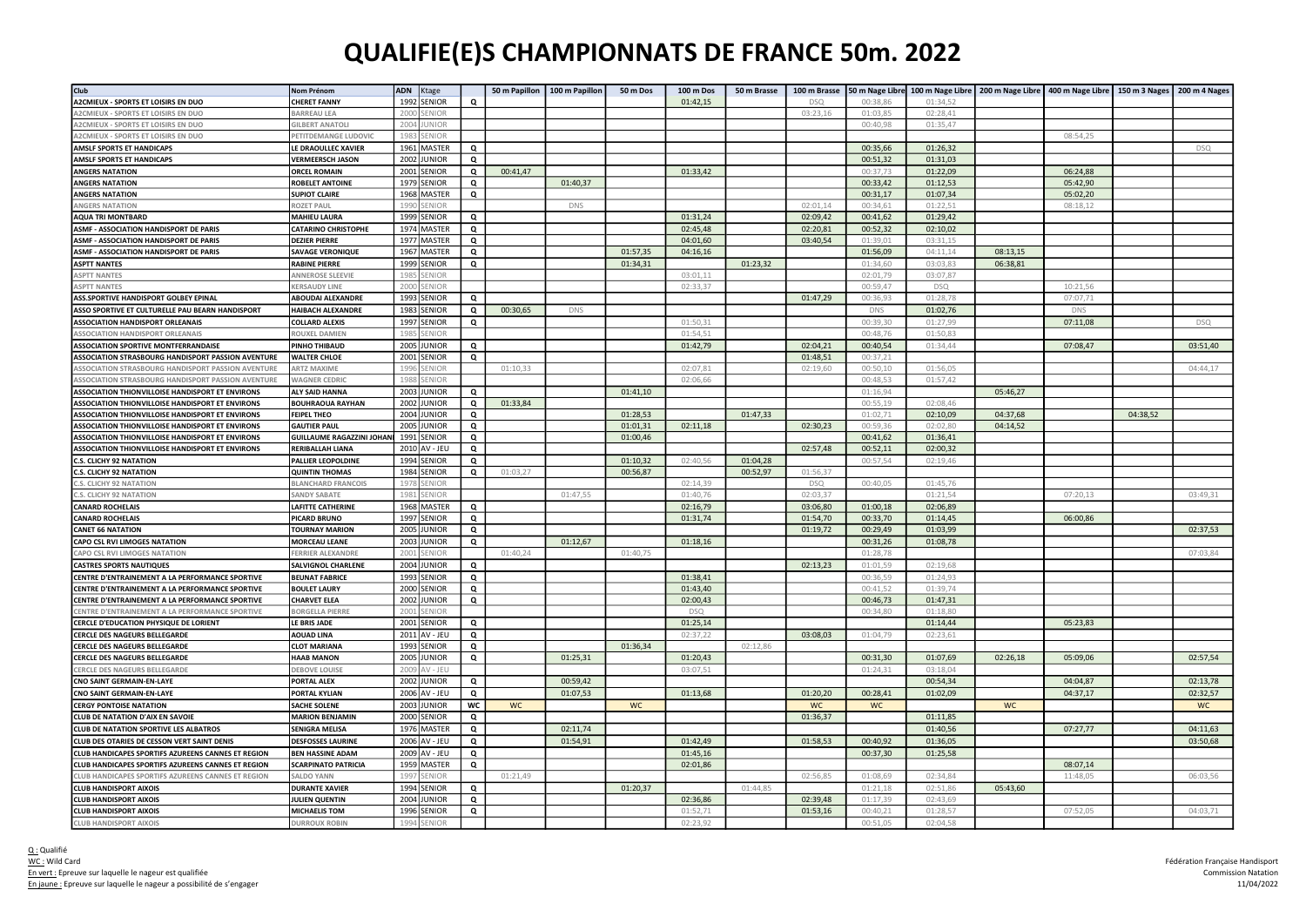## QUALIFIE(E)S CHAMPIONNATS DE FRANCE 50m. 2022

| Club                                                      | Nom Prénom                             | <b>ADN</b><br>Ktage   |          | 50 m Papillon | 100 m Papillon | 50 m Dos | 100 m Dos  | 50 m Brasse | 100 m Brasse    |           |            |          | 50 m Nage Libre 100 m Nage Libre   200 m Nage Libre   400 m Nage Libre   150 m 3 Nages   200 m 4 Nages |          |            |
|-----------------------------------------------------------|----------------------------------------|-----------------------|----------|---------------|----------------|----------|------------|-------------|-----------------|-----------|------------|----------|--------------------------------------------------------------------------------------------------------|----------|------------|
| A2CMIEUX - SPORTS ET LOISIRS EN DUO                       | <b>CHERET FANNY</b>                    | 1992<br>SENIOR        | Q        |               |                |          | 01:42,15   |             | D <sub>SC</sub> | 00:38,86  | 01:34,52   |          |                                                                                                        |          |            |
| A2CMIEUX - SPORTS ET LOISIRS EN DUO                       | BARREAU LEA                            | 200<br>ENIOR          |          |               |                |          |            |             | 03:23,16        | 01:03,85  | 02:28,41   |          |                                                                                                        |          |            |
| A2CMIEUX - SPORTS ET LOISIRS EN DUO                       | <b>GILBERT ANATOLI</b>                 | 2004<br><b>JNIOR</b>  |          |               |                |          |            |             |                 | 00:40,98  | 01:35,47   |          |                                                                                                        |          |            |
| A2CMIEUX - SPORTS ET LOISIRS EN DUO                       | PETITDEMANGE LUDOVIC                   | 198<br>ENIOR          |          |               |                |          |            |             |                 |           |            |          | 08:54,25                                                                                               |          |            |
| <b>AMSLF SPORTS ET HANDICAPS</b>                          | LE DRAOULLEC XAVIER                    | 1961 MASTER           | Q        |               |                |          |            |             |                 | 00:35,66  | 01:26,32   |          |                                                                                                        |          | <b>DSQ</b> |
| <b>AMSLF SPORTS ET HANDICAPS</b>                          | <b>VERMEERSCH JASON</b>                | 2002 JUNIOR           | Q        |               |                |          |            |             |                 | 00:51,32  | 01:31,03   |          |                                                                                                        |          |            |
| <b>ANGERS NATATION</b>                                    | <b>ORCEL ROMAIN</b>                    | 2001<br>SENIOR        | Q        | 00:41,47      |                |          | 01:33,42   |             |                 | 00:37,73  | 01:22,09   |          | 06:24,88                                                                                               |          |            |
| <b>ANGERS NATATION</b>                                    | <b>ROBELET ANTOINE</b>                 | 1979<br><b>SENIOR</b> | Q        |               | 01:40,37       |          |            |             |                 | 00:33,42  | 01:12,53   |          | 05:42,90                                                                                               |          |            |
| <b>ANGERS NATATION</b>                                    | <b>SUPIOT CLAIRE</b>                   | 1968<br><b>MASTER</b> | Q        |               |                |          |            |             |                 | 00:31,17  | 01:07,34   |          | 05:02,20                                                                                               |          |            |
| <b><i>INGERS NATATION</i></b>                             | <b>ROZET PAU</b>                       | 199<br>ENIOF          |          |               | DNS            |          |            |             | 02:01,14        | 00:34,61  | 01:22,51   |          | 08:18,12                                                                                               |          |            |
| <b>AQUA TRI MONTBARD</b>                                  | <b>MAHIEU LAURA</b>                    | 1999 SENIOR           | Q        |               |                |          | 01:31,24   |             | 02:09,42        | 00:41,62  | 01:29,42   |          |                                                                                                        |          |            |
| <b>ASMF - ASSOCIATION HANDISPORT DE PARIS</b>             | <b>CATARINO CHRISTOPHE</b>             | 1974 MASTER           | Q        |               |                |          | 02:45,48   |             | 02:20,81        | 00:52,32  | 02:10,02   |          |                                                                                                        |          |            |
| ASMF - ASSOCIATION HANDISPORT DE PARIS                    | <b>DEZIER PIERRE</b>                   | 1977<br>MASTER        | Q        |               |                |          | 04:01,60   |             | 03:40,54        | 01:39,01  | 03:31,15   |          |                                                                                                        |          |            |
| ASMF - ASSOCIATION HANDISPORT DE PARIS                    | <b>SAVAGE VERONIQUE</b>                | 1967<br>MASTER        | Q        |               |                | 01:57,35 | 04:16,16   |             |                 | 01:56,09  | 04:11.14   | 08:13,15 |                                                                                                        |          |            |
| <b>ASPTT NANTES</b>                                       | <b>RABINE PIERRE</b>                   | 1999<br>SENIOR        | Q        |               |                | 01:34,31 |            | 01:23,32    |                 | 01:34,60  | 03:03,83   | 06:38,81 |                                                                                                        |          |            |
| <b>ASPTT NANTES</b>                                       | ANNEROSE SLEEVII                       | 198<br>ENIOR          |          |               |                |          | 03:01,11   |             |                 | 02:01,79  | 03:07,87   |          |                                                                                                        |          |            |
| <b>ASPTT NANTES</b>                                       | <b>KERSAUDY LINE</b>                   | 200<br>ENIOF          |          |               |                |          | 02:33.37   |             |                 | 00:59.47  | <b>DSQ</b> |          | 10:21.56                                                                                               |          |            |
| ASS.SPORTIVE HANDISPORT GOLBEY EPINAL                     | <b>ABOUDAI ALEXANDRE</b>               | 1993 SENIOR           | $\Omega$ |               |                |          |            |             | 01:47,29        | 00:36,93  | 01:28,78   |          | 07:07,71                                                                                               |          |            |
| ASSO SPORTIVE ET CULTURELLE PAU BEARN HANDISPORT          | <b>HAIBACH ALEXANDRE</b>               | 1983<br><b>SENIOF</b> | Q        | 00:30,65      | <b>DNS</b>     |          |            |             |                 | DNS       | 01:02,76   |          | DNS                                                                                                    |          |            |
| <b>ASSOCIATION HANDISPORT ORLEANAIS</b>                   | <b>COLLARD ALEXIS</b>                  | 1997<br>SENIOR        | Q        |               |                |          | 01:50,31   |             |                 | 00:39,30  | 01:27,99   |          | 07:11,08                                                                                               |          | <b>DSQ</b> |
| SSOCIATION HANDISPORT ORLEANAIS                           | ROUXEL DAMIEN                          | 198<br><b>ENIOF</b>   |          |               |                |          | 01:54,51   |             |                 | 00:48,76  | 01:50,83   |          |                                                                                                        |          |            |
| <b>ASSOCIATION SPORTIVE MONTFERRANDAISE</b>               | <b>PINHO THIBAUD</b>                   | 2005 JUNIOR           | Q        |               |                |          | 01:42,79   |             | 02:04.21        | 00:40.54  | 01:34.44   |          | 07:08,47                                                                                               |          | 03:51.40   |
| <b>ASSOCIATION STRASBOURG HANDISPORT PASSION AVENTURE</b> | <b>WALTER CHLOE</b>                    | 2001 SENIOR           | Q        |               |                |          |            |             | 01:48,51        | 00:37.21  |            |          |                                                                                                        |          |            |
| ASSOCIATION STRASBOURG HANDISPORT PASSION AVENTURE        | <b>ARTZ MAXIME</b>                     | 1996<br>ENIOR         |          | 01:10,33      |                |          | 02:07,81   |             | 02:19,60        | 00:50,10  | 01:56,05   |          |                                                                                                        |          | 04:44,17   |
| SSOCIATION STRASBOURG HANDISPORT PASSION AVENTURE         | WAGNER CEDRIC                          | ENIOR<br>198          |          |               |                |          | 02:06,66   |             |                 | 00:48,53  | 01:57,42   |          |                                                                                                        |          |            |
| ASSOCIATION THIONVILLOISE HANDISPORT ET ENVIRONS          | ALY SAID HANNA                         | 2003<br><b>IUNIOR</b> | Q        |               |                | 01:41,10 |            |             |                 | 01:16,94  |            | 05:46,27 |                                                                                                        |          |            |
| ASSOCIATION THIONVILLOISE HANDISPORT ET ENVIRONS          | <b>BOUHRAOUA RAYHAN</b>                | 2002 JUNIOR           | Q        | 01:33,84      |                |          |            |             |                 | 00:55,19  | 02:08,46   |          |                                                                                                        |          |            |
| ASSOCIATION THIONVILLOISE HANDISPORT ET ENVIRONS          | <b>FEIPEL THEO</b>                     | 2004 JUNIOR           | Q        |               |                | 01:28,53 |            | 01:47,33    |                 | 01:02.71  | 02:10.09   | 04:37,68 |                                                                                                        | 04:38,52 |            |
| ASSOCIATION THIONVILLOISE HANDISPORT ET ENVIRONS          | <b>GAUTIER PAUL</b>                    | 2005<br>JUNIOR        | Q        |               |                | 01:01,31 | 02:11,18   |             | 02:30,23        | 00:59,36  | 02:02,80   | 04:14,52 |                                                                                                        |          |            |
| ASSOCIATION THIONVILLOISE HANDISPORT ET ENVIRONS          | GUILLAUME RAGAZZINI JOHANI 1991 SENIOR |                       | Q        |               |                | 01:00,46 |            |             |                 | 00:41,62  | 01:36,41   |          |                                                                                                        |          |            |
| ASSOCIATION THIONVILLOISE HANDISPORT ET ENVIRONS          | <b>RERIBALLAH LIANA</b>                | 2010 AV - JEU         | Q        |               |                |          |            |             | 02:57,48        | 00:52,11  | 02:00,32   |          |                                                                                                        |          |            |
| S. CLICHY 92 NATATION                                     | <b>PALLIER LEOPOLDINE</b>              | 1994<br>SENIOR        | Q        |               |                | 01:10,32 | 02:40,56   | 01:04,28    |                 | 00:57,54  | 02:19,46   |          |                                                                                                        |          |            |
| .S. CLICHY 92 NATATION                                    | <b>QUINTIN THOMAS</b>                  | 1984<br>SENIOR        | Q        | 01:03,27      |                | 00:56,87 |            | 00:52,97    | 01:56,37        |           |            |          |                                                                                                        |          |            |
| .S. CLICHY 92 NATATION                                    | <b>BLANCHARD FRANCOIS</b>              | 197<br>ENIOR          |          |               |                |          | 02:14,39   |             | <b>DSQ</b>      | 00:40,05  | 01:45,76   |          |                                                                                                        |          |            |
| .S. CLICHY 92 NATATION                                    | <b>SANDY SABATI</b>                    | 198<br>ENIOR          |          |               | 01:47,55       |          | 01:40,76   |             | 02:03,37        |           | 01:21,54   |          | 07:20,13                                                                                               |          | 03:49,31   |
| <b>CANARD ROCHELAIS</b>                                   | <b>LAFITTE CATHERINE</b>               | 1968 MASTER           | Q        |               |                |          | 02:16,79   |             | 03:06,80        | 01:00,18  | 02:06,89   |          |                                                                                                        |          |            |
| <b>CANARD ROCHELAIS</b>                                   | PICARD BRUNO                           | 1997<br><b>SENIOR</b> | Q        |               |                |          | 01:31,74   |             | 01:54,70        | 00:33,70  | 01:14,45   |          | 06:00,86                                                                                               |          |            |
| <b>CANET 66 NATATION</b>                                  | <b>TOURNAY MARION</b>                  | 2005<br><b>JUNIOR</b> | Q        |               |                |          |            |             | 01:19,72        | 00:29,49  | 01:03,99   |          |                                                                                                        |          | 02:37,53   |
| <b>CAPO CSL RVI LIMOGES NATATION</b>                      | <b>MORCEAU LEANE</b>                   | 2003 JUNIOR           | Q        |               | 01:12,67       |          | 01:18,16   |             |                 | 00:31,26  | 01:08,78   |          |                                                                                                        |          |            |
| CAPO CSL RVI LIMOGES NATATION                             | <b>FERRIER ALEXANDRI</b>               | 2001<br>SENIOF        |          | 01:40,24      |                | 01:40,75 |            |             |                 | 01:28,78  |            |          |                                                                                                        |          | 07:03,84   |
| <b>CASTRES SPORTS NAUTIQUES</b>                           | <b>SALVIGNOL CHARLENE</b>              | 2004 JUNIOR           | Q        |               |                |          |            |             | 02:13,23        | 01:01,59  | 02:19,68   |          |                                                                                                        |          |            |
| CENTRE D'ENTRAINEMENT A LA PERFORMANCE SPORTIVE           | <b>BEUNAT FABRICE</b>                  | 1993 SENIOR           | Q        |               |                |          | 01:38,41   |             |                 | 00:36,59  | 01:24,93   |          |                                                                                                        |          |            |
| CENTRE D'ENTRAINEMENT A LA PERFORMANCE SPORTIVE           | <b>BOULET LAURY</b>                    | 2000<br>SENIOR        | Q        |               |                |          | 01:43,40   |             |                 | 00:41,52  | 01:39,74   |          |                                                                                                        |          |            |
| CENTRE D'ENTRAINEMENT A LA PERFORMANCE SPORTIVE           | <b>CHARVET ELEA</b>                    | 2002<br><b>JUNIOR</b> | Q        |               |                |          | 02:00,43   |             |                 | 00:46,73  | 01:47,31   |          |                                                                                                        |          |            |
| ENTRE D'ENTRAINEMENT A LA PERFORMANCE SPORTIVE            | <b>BORGELLA PIERRE</b>                 | 2001<br><b>FNIOF</b>  |          |               |                |          | <b>DSO</b> |             |                 | 00:34,80  | 01:18,80   |          |                                                                                                        |          |            |
| CERCLE D'EDUCATION PHYSIQUE DE LORIENT                    | LE BRIS JADE                           | 2001 SENIOR           | Q        |               |                |          | 01:25,14   |             |                 |           | 01:14,44   |          | 05:23,83                                                                                               |          |            |
| CERCLE DES NAGEURS BELLEGARDE                             | <b>AOUAD LINA</b>                      | 2011 AV - JEU         | Q        |               |                |          | 02:37,22   |             | 03:08,03        | 01:04,79  | 02:23,61   |          |                                                                                                        |          |            |
| <b>CERCLE DES NAGEURS BELLEGARDE</b>                      | <b>CLOT MARIANA</b>                    | 1993 SENIOR           | Q        |               |                | 01:36,34 |            | 02:12,86    |                 |           |            |          |                                                                                                        |          |            |
| <b>CERCLE DES NAGEURS BELLEGARDE</b>                      | <b>HAAB MANON</b>                      | 2005 JUNIOR           | Q        |               | 01:25,31       |          | 01:20,43   |             |                 | 00:31,30  | 01:07,69   | 02:26,18 | 05:09,06                                                                                               |          | 02:57,54   |
| ERCLE DES NAGEURS BELLEGARDE                              | DEBOVE LOUISE                          | 200<br>$V - IFI$      |          |               |                |          | 03:07,51   |             |                 | 01:24,31  | 03:18,04   |          |                                                                                                        |          |            |
| CNO SAINT GERMAIN-EN-LAYE                                 | PORTAL ALEX                            | 2002 JUNIOR           | Q        |               | 00:59,42       |          |            |             |                 |           | 00:54,34   |          | 04:04,87                                                                                               |          | 02:13,78   |
|                                                           |                                        | 2006 AV - JEU         |          |               |                |          | 01:13,68   |             | 01:20,20        | 00:28,41  |            |          |                                                                                                        |          | 02:32,57   |
| CNO SAINT GERMAIN-EN-LAYE                                 | <b>PORTAL KYLIAN</b>                   | 2003 JUNIOR           | Q<br>wc  |               | 01:07,53       |          |            |             |                 |           | 01:02,09   |          | 04:37,17                                                                                               |          |            |
| <b>CERGY PONTOISE NATATION</b>                            | <b>SACHE SOLENE</b>                    | 2000 SENIOR           |          | <b>WC</b>     |                | WC       |            |             | <b>WC</b>       | <b>WC</b> |            | WC       |                                                                                                        |          | <b>WC</b>  |
| <b>CLUB DE NATATION D'AIX EN SAVOIE</b>                   | MARION BENJAMIN                        |                       | Q        |               |                |          |            |             | 01:36,37        |           | 01:11,85   |          |                                                                                                        |          |            |
| LLUB DE NATATION SPORTIVE LES ALBATROS                    | <b>SENIGRA MELISA</b>                  | 1976 MASTER           | $\Omega$ |               | 02:11,74       |          |            |             |                 |           | 01:40.56   |          | 07:27,77                                                                                               |          | 04:11.63   |
| CLUB DES OTARIES DE CESSON VERT SAINT DENIS               | <b>DESFOSSES LAURINE</b>               | 2006 AV - JEU         | Q        |               | 01:54,91       |          | 01:42,49   |             | 01:58,53        | 00:40,92  | 01:36,05   |          |                                                                                                        |          | 03:50,68   |
| CLUB HANDICAPES SPORTIFS AZUREENS CANNES ET REGION        | <b>BEN HASSINE ADAM</b>                | 2009 AV - JEU         | Q        |               |                |          | 01:45,16   |             |                 | 00:37,30  | 01:25,58   |          |                                                                                                        |          |            |
| CLUB HANDICAPES SPORTIFS AZUREENS CANNES ET REGION        | <b>SCARPINATO PATRICIA</b>             | 1959 MASTER           | Q        |               |                |          | 02:01,86   |             |                 |           |            |          | 08:07,14                                                                                               |          |            |
| LUB HANDICAPES SPORTIFS AZUREENS CANNES ET REGION         | <b>SALDO YANN</b>                      | 199<br><b>ENIOF</b>   |          | 01:21.49      |                |          |            |             | 02:56.85        | 01:08.69  | 02:34.84   |          | 11:48.05                                                                                               |          | 06:03.56   |
| <b>CLUB HANDISPORT AIXOIS</b>                             | <b>DURANTE XAVIER</b>                  | 1994<br>SENIOR        | Q        |               |                | 01:20,37 |            | 01:44,85    |                 | 01:21,18  | 02:51,86   | 05:43,60 |                                                                                                        |          |            |
| <b>CLUB HANDISPORT AIXOIS</b>                             | <b>JULIEN QUENTIN</b>                  | 2004<br>JUNIOR        | Q        |               |                |          | 02:36,86   |             | 02:39,48        | 01:17,39  | 02:43,69   |          |                                                                                                        |          |            |
| <b>CLUB HANDISPORT AIXOIS</b>                             | <b>MICHAELIS TOM</b>                   | 1996<br>SENIOR        | Q        |               |                |          | 01:52,71   |             | 01:53,16        | 00:40,21  | 01:28,57   |          | 07:52,05                                                                                               |          | 04:03,71   |
| <b>CLUB HANDISPORT AIXOIS</b>                             | <b>DURROUX ROBIN</b>                   | 199<br><b>FNIOF</b>   |          |               |                |          | 02:23,92   |             |                 | 00:51,05  | 02:04,58   |          |                                                                                                        |          |            |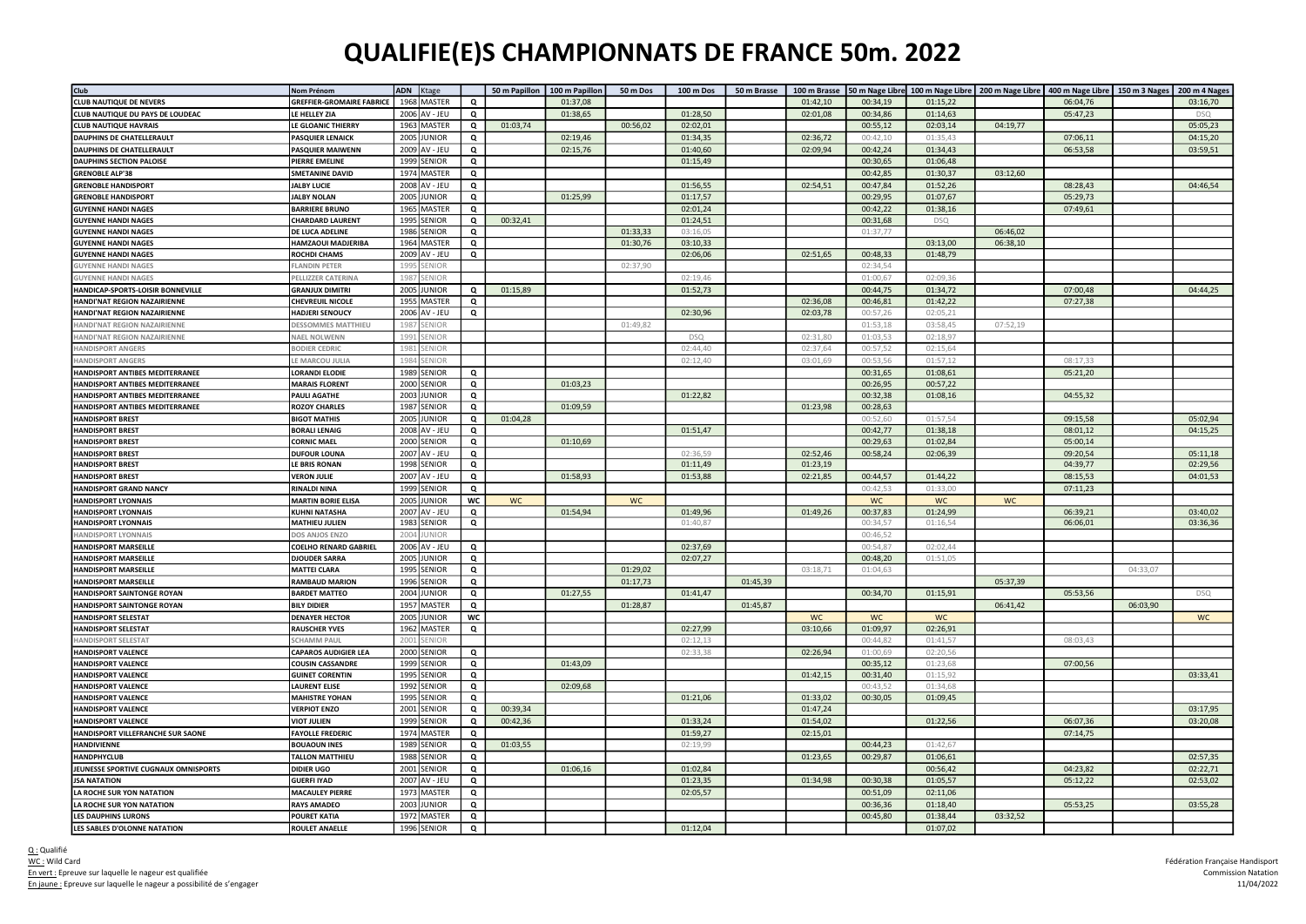## QUALIFIE(E)S CHAMPIONNATS DE FRANCE 50m. 2022

| Club                                   | Nom Prénom                       |      | ADN Ktage     |                |           | 50 m Papillon   100 m Papillon | 50 m Dos  | 100 m Dos  | 50 m Brasse | 100 m Brasse |           | 50 m Nage Libre 100 m Nage Libre   200 m Nage Libre   400 m Nage Libre   150 m 3 Nages   200 m 4 Nages |           |          |          |            |
|----------------------------------------|----------------------------------|------|---------------|----------------|-----------|--------------------------------|-----------|------------|-------------|--------------|-----------|--------------------------------------------------------------------------------------------------------|-----------|----------|----------|------------|
| <b>CLUB NAUTIQUE DE NEVERS</b>         | <b>GREFFIER-GROMAIRE FABRICE</b> | 1968 | <b>MASTER</b> | Q              |           | 01:37,08                       |           |            |             | 01:42,10     | 00:34,19  | 01:15,22                                                                                               |           | 06:04,76 |          | 03:16,70   |
| CLUB NAUTIQUE DU PAYS DE LOUDEAC       | LE HELLEY ZIA                    |      | 2006 AV - JEU | Q              |           | 01:38,65                       |           | 01:28,50   |             | 02:01,08     | 00:34,86  | 01:14,63                                                                                               |           | 05:47,23 |          | <b>DSQ</b> |
| <b>CLUB NAUTIQUE HAVRAIS</b>           | LE GLOANIC THIERRY               |      | 1963 MASTER   | Q              | 01:03,74  |                                | 00:56.02  | 02:02,01   |             |              | 00:55,12  | 02:03,14                                                                                               | 04:19,77  |          |          | 05:05,23   |
| <b>DAUPHINS DE CHATELLERAULT</b>       | <b>PASQUIER LENAICK</b>          |      | 2005 JUNIOR   | Q              |           | 02:19,46                       |           | 01:34,35   |             | 02:36,72     | 00:42,10  | 01:35,43                                                                                               |           | 07:06,11 |          | 04:15,20   |
| <b>DAUPHINS DE CHATELLERAULT</b>       | <b>PASQUIER MAIWENN</b>          |      | 2009 AV - JEU | Q              |           | 02:15,76                       |           | 01:40,60   |             | 02:09,94     | 00:42,24  | 01:34,43                                                                                               |           | 06:53,58 |          | 03:59,51   |
| <b>DAUPHINS SECTION PALOISE</b>        | PIERRE EMELINE                   |      | 1999 SENIOR   | Q              |           |                                |           | 01:15,49   |             |              | 00:30,65  | 01:06,48                                                                                               |           |          |          |            |
| <b>GRENOBLE ALP'38</b>                 | <b>SMETANINE DAVID</b>           |      | 1974 MASTER   | Q              |           |                                |           |            |             |              | 00:42,85  | 01:30,37                                                                                               | 03:12,60  |          |          |            |
| <b>GRENOBLE HANDISPORT</b>             | <b>JALBY LUCIE</b>               |      | 2008 AV - JEU | Q              |           |                                |           | 01:56,55   |             | 02:54,51     | 00:47,84  | 01:52,26                                                                                               |           | 08:28,43 |          | 04:46,54   |
| <b>GRENOBLE HANDISPORT</b>             | <b>JALBY NOLAN</b>               | 2005 | <b>JUNIOR</b> | Q              |           | 01:25,99                       |           | 01:17,57   |             |              | 00:29,95  | 01:07,67                                                                                               |           | 05:29,73 |          |            |
| <b>GUYENNE HANDI NAGES</b>             | <b>BARRIERE BRUNO</b>            |      | 1965 MASTER   | Q              |           |                                |           | 02:01,24   |             |              | 00:42,22  | 01:38,16                                                                                               |           | 07:49,61 |          |            |
| <b>GUYENNE HANDI NAGES</b>             | <b>CHARDARD LAURENT</b>          |      | 1995 SENIOR   | Q              | 00:32,41  |                                |           | 01:24,51   |             |              | 00:31,68  | <b>DSQ</b>                                                                                             |           |          |          |            |
| <b>JUYENNE HANDI NAGES</b>             | DE LUCA ADELINE                  | 1986 | SENIOR        | Q              |           |                                | 01:33,33  | 03:16,05   |             |              | 01:37,77  |                                                                                                        | 06:46,02  |          |          |            |
| <b>GUYENNE HANDI NAGES</b>             | HAMZAOUI MADJERIBA               | 1964 | MASTER        | Q              |           |                                | 01:30,76  | 03:10,33   |             |              |           | 03:13,00                                                                                               | 06:38,10  |          |          |            |
| <b>GUYENNE HANDI NAGES</b>             | ROCHDI CHAMS                     |      | 2009 AV - JEU | Q              |           |                                |           | 02:06,06   |             | 02:51,65     | 00:48,33  | 01:48,79                                                                                               |           |          |          |            |
| <b>IUYENNE HANDI NAGES</b>             | LANDIN PETER                     | 199  | ENIOR         |                |           |                                | 02:37,90  |            |             |              | 02:34,54  |                                                                                                        |           |          |          |            |
| <b>IUYENNE HANDI NAGES</b>             | PELLIZZER CATERINA               | 1987 | ENIOF         |                |           |                                |           | 02:19,46   |             |              | 01:00,67  | 02:09,36                                                                                               |           |          |          |            |
| HANDICAP-SPORTS-LOISIR BONNEVILLE      | <b>GRANJUX DIMITRI</b>           | 2005 | <b>JUNIOR</b> | Q              | 01:15,89  |                                |           | 01:52,73   |             |              | 00:44,75  | 01:34,72                                                                                               |           | 07:00,48 |          | 04:44,25   |
|                                        |                                  |      |               |                |           |                                |           |            |             |              |           |                                                                                                        |           |          |          |            |
| <b>HANDI'NAT REGION NAZAIRIENNE</b>    | <b>CHEVREUIL NICOLE</b>          | 1955 | MASTER        | Q              |           |                                |           |            |             | 02:36,08     | 00:46,81  | 01:42,22                                                                                               |           | 07:27,38 |          |            |
| HANDI'NAT REGION NAZAIRIENNE           | <b>HADJERI SENOUCY</b>           | 2006 | AV - JEU      | Q              |           |                                |           | 02:30,96   |             | 02:03,78     | 00:57,26  | 02:05,21                                                                                               |           |          |          |            |
| <b>IANDI'NAT REGION NAZAIRIENNE</b>    | DESSOMMES MATTHIEU               | 198  | ENIOR         |                |           |                                | 01:49,82  |            |             |              | 01:53,18  | 03:58,45                                                                                               | 07:52,19  |          |          |            |
| HANDI'NAT REGION NAZAIRIENNE           | <b>NAEL NOLWENN</b>              | 1991 | ENIOR         |                |           |                                |           | <b>DSQ</b> |             | 02:31,80     | 01:03,53  | 02:18,97                                                                                               |           |          |          |            |
| <b>HANDISPORT ANGERS</b>               | BODIER CEDRIC                    | 198' | ENIOR         |                |           |                                |           | 02:44,40   |             | 02:37,64     | 00:57,52  | 02:15,64                                                                                               |           |          |          |            |
| <b>ANDISPORT ANGERS</b>                | E MARCOU JULIA                   | 198  | ENIOR         |                |           |                                |           | 02:12,40   |             | 03:01,69     | 00:53,56  | 01:57,12                                                                                               |           | 08:17,33 |          |            |
| <b>HANDISPORT ANTIBES MEDITERRANEE</b> | LORANDI ELODIE                   | 1989 | SENIOR        | Q              |           |                                |           |            |             |              | 00:31,65  | 01:08,61                                                                                               |           | 05:21,20 |          |            |
| <b>IANDISPORT ANTIBES MEDITERRANEE</b> | <b>MARAIS FLORENT</b>            | 2000 | SENIOR        | Q              |           | 01:03,23                       |           |            |             |              | 00:26,95  | 00:57,22                                                                                               |           |          |          |            |
| <b>HANDISPORT ANTIBES MEDITERRANEE</b> | PAULI AGATHE                     | 2003 | <b>JUNIOR</b> | Q              |           |                                |           | 01:22,82   |             |              | 00:32,38  | 01:08,16                                                                                               |           | 04:55,32 |          |            |
| HANDISPORT ANTIBES MEDITERRANEE        | <b>ROZOY CHARLES</b>             | 1987 | SENIOR        | Q              |           | 01:09,59                       |           |            |             | 01:23,98     | 00:28,63  |                                                                                                        |           |          |          |            |
| <b>HANDISPORT BREST</b>                | <b>BIGOT MATHIS</b>              | 2005 | <b>JUNIOR</b> | Q              | 01:04,28  |                                |           |            |             |              | 00:52,60  | 01:57,54                                                                                               |           | 09:15,58 |          | 05:02,94   |
| <b>HANDISPORT BREST</b>                | <b>BORALI LENAIG</b>             | 2008 | AV - JEU      | Q              |           |                                |           | 01:51,47   |             |              | 00:42,77  | 01:38,18                                                                                               |           | 08:01,12 |          | 04:15,25   |
| <b>HANDISPORT BREST</b>                | <b>CORNIC MAEL</b>               | 2000 | SENIOR        | Q              |           | 01:10,69                       |           |            |             |              | 00:29,63  | 01:02,84                                                                                               |           | 05:00,14 |          |            |
| <b>HANDISPORT BREST</b>                | <b>DUFOUR LOUNA</b>              | 2007 | AV - JEU      | $\mathbf{Q}$   |           |                                |           | 02:36.59   |             | 02:52,46     | 00:58,24  | 02:06,39                                                                                               |           | 09:20,54 |          | 05:11,18   |
| <b>HANDISPORT BREST</b>                | LE BRIS RONAN                    | 1998 | SENIOR        | Q              |           |                                |           | 01:11,49   |             | 01:23,19     |           |                                                                                                        |           | 04:39,77 |          | 02:29,56   |
| <b>HANDISPORT BREST</b>                | <b>VERON JULIE</b>               | 2007 | AV - JEU      | Q              |           | 01:58,93                       |           | 01:53,88   |             | 02:21,85     | 00:44,57  | 01:44,22                                                                                               |           | 08:15,53 |          | 04:01,53   |
| <b>HANDISPORT GRAND NANCY</b>          | <b>RINALDI NINA</b>              |      | 1999 SENIOR   | Q              |           |                                |           |            |             |              | 00:42,53  | 01:33,00                                                                                               |           | 07:11,23 |          |            |
| <b>HANDISPORT LYONNAIS</b>             | <b>MARTIN BORIE ELISA</b>        | 2005 | <b>IUNIOR</b> | wc             | <b>WC</b> |                                | <b>WC</b> |            |             |              | <b>WC</b> | <b>WC</b>                                                                                              | <b>WC</b> |          |          |            |
| <b>HANDISPORT LYONNAIS</b>             | <b>KUHNI NATASHA</b>             | 2007 | AV - JEU      | Q              |           | 01:54,94                       |           | 01:49,96   |             | 01:49,26     | 00:37,83  | 01:24,99                                                                                               |           | 06:39,21 |          | 03:40,02   |
| <b>HANDISPORT LYONNAIS</b>             | <b>MATHIEU JULIEN</b>            | 1983 | SENIOR        | Q              |           |                                |           | 01:40,87   |             |              | 00:34,57  | 01:16,54                                                                                               |           | 06:06,01 |          | 03:36,36   |
| <b>IANDISPORT LYONNAIS</b>             | DOS ANJOS ENZO                   | 200  | <b>JNIOF</b>  |                |           |                                |           |            |             |              | 00:46,52  |                                                                                                        |           |          |          |            |
| <b>HANDISPORT MARSEILLE</b>            | <b>COELHO RENARD GABRIEL</b>     |      | 2006 AV - JEU | Q              |           |                                |           | 02:37,69   |             |              | 00:54.87  | 02:02,44                                                                                               |           |          |          |            |
| <b>IANDISPORT MARSEILLE</b>            | <b>DJOUDER SARRA</b>             | 2005 | <b>JUNIOR</b> | Q              |           |                                |           | 02:07,27   |             |              | 00:48,20  | 01:51,05                                                                                               |           |          |          |            |
| <b>HANDISPORT MARSEILLE</b>            | <b>MATTEI CLARA</b>              | 1995 | SENIOR        | Q              |           |                                | 01:29,02  |            |             | 03:18,71     | 01:04,63  |                                                                                                        |           |          | 04:33,07 |            |
| <b>HANDISPORT MARSEILLE</b>            | <b>RAMBAUD MARION</b>            | 1996 | SENIOR        | Q              |           |                                | 01:17,73  |            | 01:45,39    |              |           |                                                                                                        | 05:37,39  |          |          |            |
| <b>HANDISPORT SAINTONGE ROYAN</b>      | <b>BARDET MATTEO</b>             | 2004 | <b>IUNIOR</b> | Q              |           | 01:27,55                       |           | 01:41,47   |             |              | 00:34,70  | 01:15,91                                                                                               |           | 05:53,56 |          | <b>DSQ</b> |
| <b>HANDISPORT SAINTONGE ROYAN</b>      | <b>BILY DIDIER</b>               | 1957 | MASTER        | Q              |           |                                | 01:28,87  |            | 01:45,87    |              |           |                                                                                                        | 06:41,42  |          | 06:03,90 |            |
| <b>HANDISPORT SELESTAT</b>             | <b>DENAYER HECTOR</b>            | 2005 | <b>JUNIOR</b> | wc             |           |                                |           |            |             | <b>WC</b>    | WC        | WC                                                                                                     |           |          |          | WC         |
| <b>HANDISPORT SELESTAT</b>             | <b>RAUSCHER YVES</b>             | 1962 | <b>MASTER</b> | Q              |           |                                |           | 02:27,99   |             | 03:10,66     | 01:09,97  | 02:26,91                                                                                               |           |          |          |            |
| <b>IANDISPORT SELESTAT</b>             | <b>SCHAMM PAUL</b>               | 200  | ENIOR         |                |           |                                |           | 02:12,13   |             |              | 00:44,82  | 01:41,57                                                                                               |           | 08:03,43 |          |            |
| <b>HANDISPORT VALENCE</b>              | <b>CAPAROS AUDIGIER LEA</b>      | 2000 | SENIOR        | Q              |           |                                |           | 02:33,38   |             | 02:26,94     | 01:00,69  | 02:20,56                                                                                               |           |          |          |            |
| <b>HANDISPORT VALENCE</b>              | COUSIN CASSANDRE                 | 1999 | SENIOR        | Q              |           | 01:43,09                       |           |            |             |              | 00:35,12  | 01:23,68                                                                                               |           | 07:00,56 |          |            |
| <b>HANDISPORT VALENCE</b>              | <b>GUINET CORENTIN</b>           | 1995 | SENIOR        | Q              |           |                                |           |            |             | 01:42,15     | 00:31,40  | 01:15,92                                                                                               |           |          |          | 03:33,41   |
| <b>HANDISPORT VALENCE</b>              | <b>AURENT ELISE</b>              | 1992 | SENIOR        | Q              |           | 02:09,68                       |           |            |             |              | 00:43.52  | 01:34.68                                                                                               |           |          |          |            |
| <b>HANDISPORT VALENCE</b>              | <b>MAHISTRE YOHAN</b>            |      | 1995 SENIOR   | Q              |           |                                |           | 01:21,06   |             | 01:33,02     | 00:30,05  | 01:09,45                                                                                               |           |          |          |            |
| <b>HANDISPORT VALENCE</b>              | <b>VERPIOT ENZO</b>              |      | 2001 SENIOR   | Q              | 00:39,34  |                                |           |            |             | 01:47,24     |           |                                                                                                        |           |          |          | 03:17,95   |
| <b>ANDISPORT VALENCE</b>               | <b>VIOT JULIEN</b>               | 1999 | SENIOR        | Q              | 00:42,36  |                                |           | 01:33,24   |             | 01:54,02     |           | 01:22,56                                                                                               |           | 06:07,36 |          | 03:20,08   |
| HANDISPORT VILLEFRANCHE SUR SAONE      | <b>FAYOLLE FREDERIC</b>          | 1974 | <b>MASTER</b> | Q              |           |                                |           | 01:59,27   |             | 02:15,01     |           |                                                                                                        |           | 07:14,75 |          |            |
| <b>HANDIVIENNE</b>                     | <b>BOUAOUN INES</b>              | 1989 | SENIOR        | Q              | 01:03,55  |                                |           | 02:19,99   |             |              | 00:44,23  | 01:42,67                                                                                               |           |          |          |            |
| <b>HANDPHYCLUB</b>                     | <b>TALLON MATTHIEU</b>           |      | 1988 SENIOR   | Q              |           |                                |           |            |             | 01:23,65     | 00:29,87  | 01:06,61                                                                                               |           |          |          | 02:57,35   |
| JEUNESSE SPORTIVE CUGNAUX OMNISPORTS   | <b>DIDIER UGO</b>                |      | 2001 SENIOR   | Q              |           | 01:06,16                       |           | 01:02,84   |             |              |           | 00:56,42                                                                                               |           | 04:23,82 |          | 02:22,71   |
| <b>JSA NATATION</b>                    | <b>GUERFI IYAD</b>               |      | 2007 AV - JEU | Q              |           |                                |           | 01:23,35   |             | 01:34,98     | 00:30,38  | 01:05,57                                                                                               |           | 05:12,22 |          | 02:53,02   |
| LA ROCHE SUR YON NATATION              | <b>MACAULEY PIERRE</b>           | 1973 | <b>MASTER</b> | Q              |           |                                |           | 02:05,57   |             |              | 00:51,09  | 02:11,06                                                                                               |           |          |          |            |
| A ROCHE SUR YON NATATION               | <b>RAYS AMADEO</b>               |      | 2003 JUNIOR   | Q              |           |                                |           |            |             |              | 00:36,36  | 01:18,40                                                                                               |           | 05:53,25 |          | 03:55,28   |
| <b>LES DAUPHINS LURONS</b>             | <b>POURET KATIA</b>              |      | 1972 MASTER   | Q              |           |                                |           |            |             |              | 00:45,80  | 01:38,44                                                                                               | 03:32,52  |          |          |            |
| LES SABLES D'OLONNE NATATION           | <b>ROULET ANAELLE</b>            |      | 1996 SENIOR   | $\overline{Q}$ |           |                                |           | 01:12,04   |             |              |           | 01:07,02                                                                                               |           |          |          |            |
|                                        |                                  |      |               |                |           |                                |           |            |             |              |           |                                                                                                        |           |          |          |            |